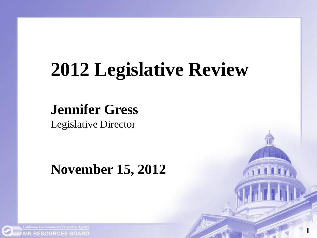# **2012 Legislative Review**

**1**

**Jennifer Gress** Legislative Director

### **November 15, 2012**

California Environmental Protection Agency **AIR RESOURCES BOARD**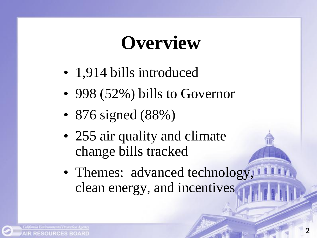## **Overview**

- 1,914 bills introduced
- 998 (52%) bills to Governor
- 876 signed (88%)
- 255 air quality and climate change bills tracked
- Themes: advanced technology, clean energy, and incentives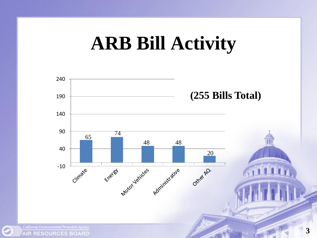

**AIR RESOURCES BOARD** 

O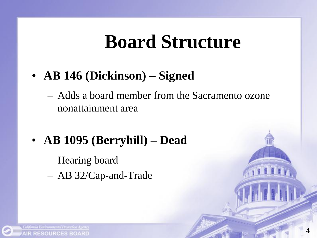## **Board Structure**

- **AB 146 (Dickinson) – Signed**
	- Adds a board member from the Sacramento ozone nonattainment area
- **AB 1095 (Berryhill) – Dead**
	- Hearing board
	- AB 32/Cap-and-Trade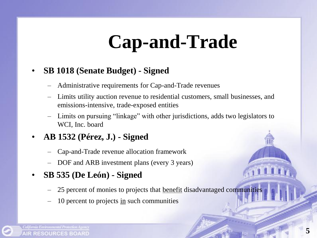# **Cap-and-Trade**

#### • **SB 1018 (Senate Budget) - Signed**

- Administrative requirements for Cap-and-Trade revenues
- Limits utility auction revenue to residential customers, small businesses, and emissions-intensive, trade-exposed entities
- Limits on pursuing "linkage" with other jurisdictions, adds two legislators to WCI, Inc. board

#### • **AB 1532 (Pérez, J.) - Signed**

- Cap-and-Trade revenue allocation framework
- DOF and ARB investment plans (every 3 years)

#### • **SB 535 (De Leόn) - Signed**

- 25 percent of monies to projects that benefit disadvantaged communities
- 10 percent to projects in such communities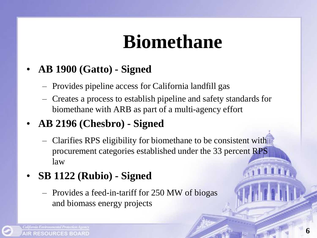# **Biomethane**

- **AB 1900 (Gatto) - Signed**
	- Provides pipeline access for California landfill gas
	- Creates a process to establish pipeline and safety standards for biomethane with ARB as part of a multi-agency effort
- **AB 2196 (Chesbro) - Signed**
	- Clarifies RPS eligibility for biomethane to be consistent with procurement categories established under the 33 percent RPS law
- **SB 1122 (Rubio) - Signed**
	- Provides a feed-in-tariff for 250 MW of biogas and biomass energy projects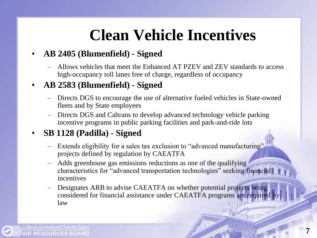### **Clean Vehicle Incentives**

#### • **AB 2405 (Blumenfield) - Signed**

– Allows vehicles that meet the Enhanced AT PZEV and ZEV standards to access high-occupancy toll lanes free of charge, regardless of occupancy

#### • **AB 2583 (Blumenfield) - Signed**

- Directs DGS to encourage the use of alternative fueled vehicles in State-owned fleets and by State employees
- Directs DGS and Caltrans to develop advanced technology vehicle parking incentive programs in public parking facilities and park-and-ride lots

#### • **SB 1128 (Padilla) - Signed**

- Extends eligibility for a sales tax exclusion to "advanced manufacturing" projects defined by regulation by CAEATFA
- Adds greenhouse gas emissions reductions as one of the qualifying characteristics for "advanced transportation technologies" seeking financial incentives
- Designates ARB to advise CAEATFA on whether potential projects being considered for financial assistance under CAEATFA programs are required by law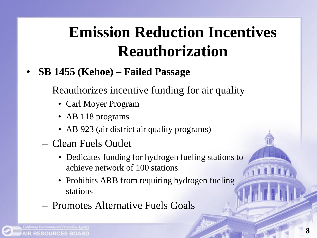### **Emission Reduction Incentives Reauthorization**

- **SB 1455 (Kehoe) – Failed Passage**
	- Reauthorizes incentive funding for air quality
		- Carl Moyer Program
		- AB 118 programs
		- AB 923 (air district air quality programs)
	- Clean Fuels Outlet
		- Dedicates funding for hydrogen fueling stations to achieve network of 100 stations
		- Prohibits ARB from requiring hydrogen fueling stations
	- Promotes Alternative Fuels Goals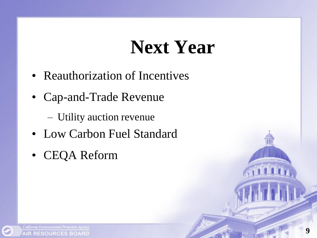## **Next Year**

- Reauthorization of Incentives
- Cap-and-Trade Revenue
	- Utility auction revenue
- Low Carbon Fuel Standard
- CEQA Reform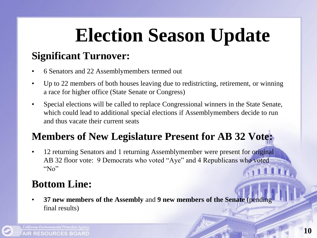# **Election Season Update**

### **Significant Turnover:**

- 6 Senators and 22 Assemblymembers termed out
- Up to 22 members of both houses leaving due to redistricting, retirement, or winning a race for higher office (State Senate or Congress)
- Special elections will be called to replace Congressional winners in the State Senate, which could lead to additional special elections if Assemblymembers decide to run and thus vacate their current seats

### **Members of New Legislature Present for AB 32 Vote:**

• 12 returning Senators and 1 returning Assemblymember were present for original AB 32 floor vote: 9 Democrats who voted "Aye" and 4 Republicans who voted "No"

### **Bottom Line:**

• **37 new members of the Assembly** and **9 new members of the Senate** (pending final results)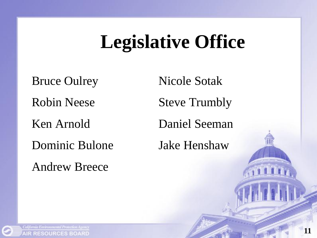## **Legislative Office**

Bruce Oulrey Nicole Sotak Robin Neese Steve Trumbly Ken Arnold Daniel Seeman Dominic Bulone Jake Henshaw

Andrew Breece

California Environmental Protection Agency **AIR RESOURCES BOARD**